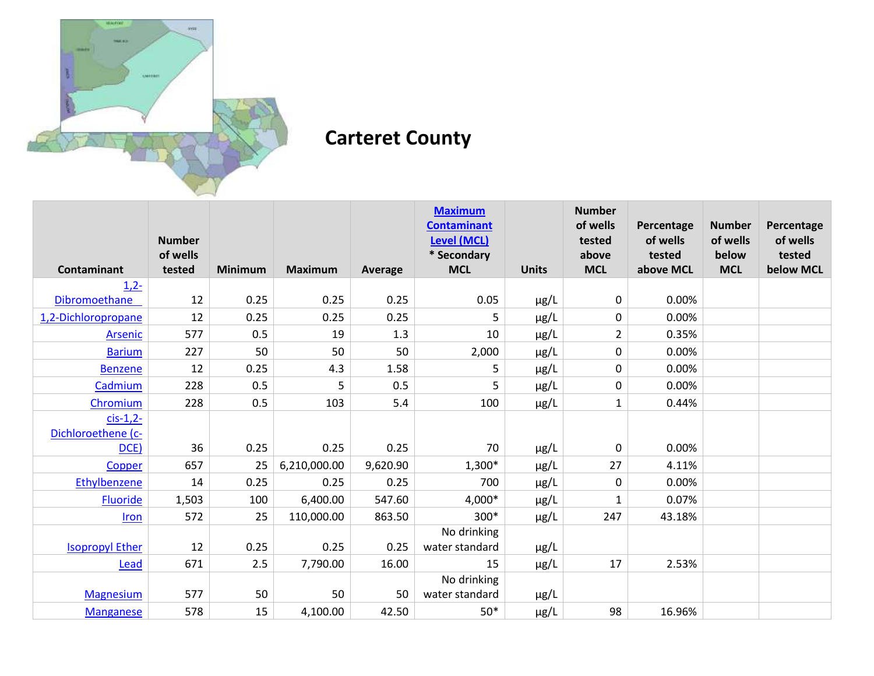

## **Carteret County**

|                        |                    |         |                |          | <b>Maximum</b><br><b>Contaminant</b> |              | <b>Number</b><br>of wells | Percentage          | <b>Number</b>       | Percentage          |
|------------------------|--------------------|---------|----------------|----------|--------------------------------------|--------------|---------------------------|---------------------|---------------------|---------------------|
|                        | <b>Number</b>      |         |                |          | Level (MCL)                          |              | tested                    | of wells            | of wells            | of wells            |
| <b>Contaminant</b>     | of wells<br>tested | Minimum | <b>Maximum</b> | Average  | * Secondary<br><b>MCL</b>            | <b>Units</b> | above<br><b>MCL</b>       | tested<br>above MCL | below<br><b>MCL</b> | tested<br>below MCL |
| $1,2-$                 |                    |         |                |          |                                      |              |                           |                     |                     |                     |
| <b>Dibromoethane</b>   | 12                 | 0.25    | 0.25           | 0.25     | 0.05                                 | $\mu$ g/L    | $\pmb{0}$                 | 0.00%               |                     |                     |
| 1,2-Dichloropropane    | 12                 | 0.25    | 0.25           | 0.25     | 5                                    | $\mu$ g/L    | 0                         | 0.00%               |                     |                     |
| Arsenic                | 577                | 0.5     | 19             | 1.3      | 10                                   | $\mu$ g/L    | $\overline{2}$            | 0.35%               |                     |                     |
| <b>Barium</b>          | 227                | 50      | 50             | 50       | 2,000                                | $\mu$ g/L    | 0                         | 0.00%               |                     |                     |
| <b>Benzene</b>         | 12                 | 0.25    | 4.3            | 1.58     | 5                                    | $\mu$ g/L    | 0                         | 0.00%               |                     |                     |
| Cadmium                | 228                | 0.5     | 5              | 0.5      | 5                                    | $\mu$ g/L    | 0                         | 0.00%               |                     |                     |
| Chromium               | 228                | 0.5     | 103            | 5.4      | 100                                  | $\mu$ g/L    | $\mathbf{1}$              | 0.44%               |                     |                     |
| $cis-1,2-$             |                    |         |                |          |                                      |              |                           |                     |                     |                     |
| Dichloroethene (c-     |                    |         |                |          |                                      |              |                           |                     |                     |                     |
| DCE)                   | 36                 | 0.25    | 0.25           | 0.25     | 70                                   | $\mu$ g/L    | $\pmb{0}$                 | 0.00%               |                     |                     |
| Copper                 | 657                | 25      | 6,210,000.00   | 9,620.90 | 1,300*                               | $\mu$ g/L    | 27                        | 4.11%               |                     |                     |
| Ethylbenzene           | 14                 | 0.25    | 0.25           | 0.25     | 700                                  | $\mu$ g/L    | 0                         | 0.00%               |                     |                     |
| Fluoride               | 1,503              | 100     | 6,400.00       | 547.60   | 4,000*                               | $\mu$ g/L    | 1                         | 0.07%               |                     |                     |
| <b>Iron</b>            | 572                | 25      | 110,000.00     | 863.50   | 300*                                 | $\mu$ g/L    | 247                       | 43.18%              |                     |                     |
|                        |                    |         |                |          | No drinking                          |              |                           |                     |                     |                     |
| <b>Isopropyl Ether</b> | 12                 | 0.25    | 0.25           | 0.25     | water standard                       | $\mu$ g/L    |                           |                     |                     |                     |
| Lead                   | 671                | 2.5     | 7,790.00       | 16.00    | 15                                   | $\mu$ g/L    | 17                        | 2.53%               |                     |                     |
|                        |                    |         |                |          | No drinking                          |              |                           |                     |                     |                     |
| <b>Magnesium</b>       | 577                | 50      | 50             | 50       | water standard                       | $\mu$ g/L    |                           |                     |                     |                     |
| <b>Manganese</b>       | 578                | 15      | 4,100.00       | 42.50    | $50*$                                | $\mu$ g/L    | 98                        | 16.96%              |                     |                     |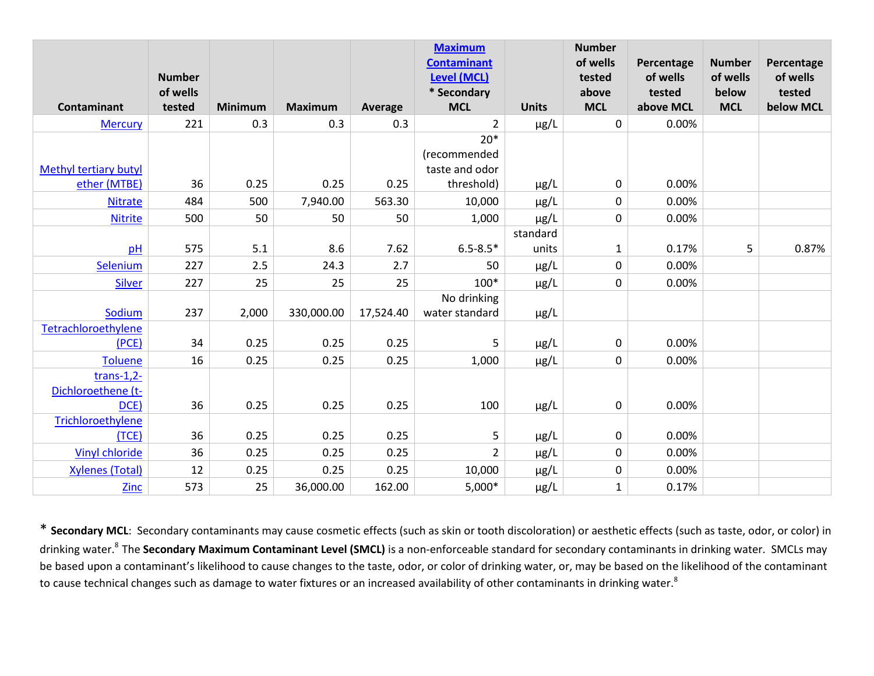|                              | <b>Number</b> |                |                |           | <b>Maximum</b><br><b>Contaminant</b><br><b>Level (MCL)</b> |              | <b>Number</b><br>of wells<br>tested | Percentage<br>of wells | <b>Number</b><br>of wells | Percentage<br>of wells |
|------------------------------|---------------|----------------|----------------|-----------|------------------------------------------------------------|--------------|-------------------------------------|------------------------|---------------------------|------------------------|
|                              | of wells      |                |                |           | * Secondary                                                |              | above                               | tested                 | below                     | tested                 |
| Contaminant                  | tested        | <b>Minimum</b> | <b>Maximum</b> | Average   | <b>MCL</b>                                                 | <b>Units</b> | <b>MCL</b>                          | above MCL              | <b>MCL</b>                | below MCL              |
| <b>Mercury</b>               | 221           | 0.3            | 0.3            | 0.3       | $\overline{2}$                                             | $\mu$ g/L    | $\mathbf 0$                         | 0.00%                  |                           |                        |
|                              |               |                |                |           | $20*$                                                      |              |                                     |                        |                           |                        |
|                              |               |                |                |           | (recommended                                               |              |                                     |                        |                           |                        |
| <b>Methyl tertiary butyl</b> |               |                |                |           | taste and odor                                             |              |                                     |                        |                           |                        |
| ether (MTBE)                 | 36            | 0.25           | 0.25           | 0.25      | threshold)                                                 | $\mu$ g/L    | $\mathbf 0$                         | 0.00%                  |                           |                        |
| <b>Nitrate</b>               | 484           | 500            | 7,940.00       | 563.30    | 10,000                                                     | µg/L         | 0                                   | 0.00%                  |                           |                        |
| <b>Nitrite</b>               | 500           | 50             | 50             | 50        | 1,000                                                      | µg/L         | 0                                   | 0.00%                  |                           |                        |
|                              |               |                |                |           |                                                            | standard     |                                     |                        |                           |                        |
| pH                           | 575           | 5.1            | 8.6            | 7.62      | $6.5 - 8.5*$                                               | units        | $\mathbf{1}$                        | 0.17%                  | 5                         | 0.87%                  |
| Selenium                     | 227           | 2.5            | 24.3           | 2.7       | 50                                                         | µg/L         | 0                                   | 0.00%                  |                           |                        |
| <b>Silver</b>                | 227           | 25             | 25             | 25        | $100*$                                                     | $\mu$ g/L    | $\pmb{0}$                           | 0.00%                  |                           |                        |
|                              |               |                |                |           | No drinking                                                |              |                                     |                        |                           |                        |
| Sodium                       | 237           | 2,000          | 330,000.00     | 17,524.40 | water standard                                             | μg/L         |                                     |                        |                           |                        |
| Tetrachloroethylene          |               |                |                |           |                                                            |              |                                     |                        |                           |                        |
| (PCE)                        | 34            | 0.25           | 0.25           | 0.25      | 5                                                          | $\mu$ g/L    | 0                                   | 0.00%                  |                           |                        |
| <b>Toluene</b>               | 16            | 0.25           | 0.25           | 0.25      | 1,000                                                      | µg/L         | 0                                   | 0.00%                  |                           |                        |
| $trans-1,2-$                 |               |                |                |           |                                                            |              |                                     |                        |                           |                        |
| Dichloroethene (t-           |               |                |                |           |                                                            |              |                                     |                        |                           |                        |
| DCE)                         | 36            | 0.25           | 0.25           | 0.25      | 100                                                        | $\mu$ g/L    | $\mathbf 0$                         | 0.00%                  |                           |                        |
| Trichloroethylene            |               |                |                |           |                                                            |              |                                     |                        |                           |                        |
| (TCE)                        | 36            | 0.25           | 0.25           | 0.25      | 5                                                          | μg/L         | 0                                   | 0.00%                  |                           |                        |
| <b>Vinyl chloride</b>        | 36            | 0.25           | 0.25           | 0.25      | $\overline{2}$                                             | µg/L         | 0                                   | 0.00%                  |                           |                        |
| <b>Xylenes (Total)</b>       | 12            | 0.25           | 0.25           | 0.25      | 10,000                                                     | µg/L         | 0                                   | 0.00%                  |                           |                        |
| <b>Zinc</b>                  | 573           | 25             | 36,000.00      | 162.00    | $5,000*$                                                   | µg/L         | $\mathbf{1}$                        | 0.17%                  |                           |                        |

\* **Secondary MCL**: Secondary contaminants may cause cosmetic effects (such as skin or tooth discoloration) or aesthetic effects (such as taste, odor, or color) in drinking water.<sup>8</sup>The **Secondary Maximum Contaminant Level (SMCL)** is a non-enforceable standard for secondary contaminants in drinking water. SMCLs may be based upon a contaminant's likelihood to cause changes to the taste, odor, or color of drinking water, or, may be based on the likelihood of the contaminant to cause technical changes such as damage to water fixtures or an increased availability of other contaminants in drinking water.<sup>8</sup>